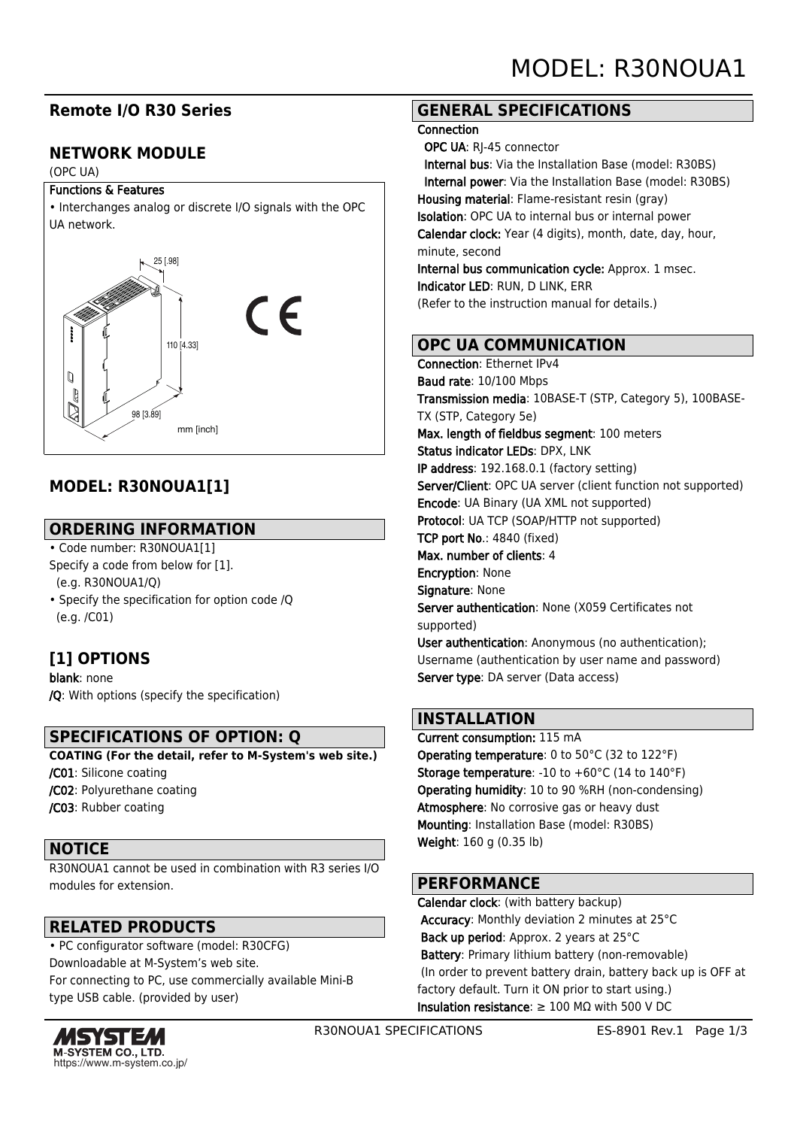# **Remote I/O R30 Series**

# **NETWORK MODULE**

#### (OPC UA)

#### Functions & Features



# **MODEL: R30NOUA1[1]**

## **ORDERING INFORMATION**

- Code number: R30NOUA1[1] Specify a code from below for [1]. (e.g. R30NOUA1/Q)
- Specify the specification for option code /Q (e.g. /C01)

# **[1] OPTIONS**

blank: none /Q: With options (specify the specification)

## **SPECIFICATIONS OF OPTION: Q**

**COATING (For the detail, refer to M-System's web site.)**

/C01: Silicone coating /C02: Polyurethane coating

/C03: Rubber coating

## **NOTICE**

R30NOUA1 cannot be used in combination with R3 series I/O modules for extension.

## **RELATED PRODUCTS**

• PC configurator software (model: R30CFG) Downloadable at M-System's web site. For connecting to PC, use commercially available Mini-B type USB cable. (provided by user)



## **GENERAL SPECIFICATIONS**

#### **Connection**

 OPC UA: RJ-45 connector Internal bus: Via the Installation Base (model: R30BS) Internal power: Via the Installation Base (model: R30BS) Housing material: Flame-resistant resin (gray) Isolation: OPC UA to internal bus or internal power Calendar clock: Year (4 digits), month, date, day, hour, minute, second Internal bus communication cycle: Approx. 1 msec. Indicator LED: RUN, D LINK, ERR

## **OPC UA COMMUNICATION**

(Refer to the instruction manual for details.)

Connection: Ethernet IPv4 Baud rate: 10/100 Mbps Transmission media: 10BASE-T (STP, Category 5), 100BASE-TX (STP, Category 5e) Max. length of fieldbus segment: 100 meters Status indicator LEDs: DPX, LNK IP address: 192.168.0.1 (factory setting) Server/Client: OPC UA server (client function not supported) Encode: UA Binary (UA XML not supported) Protocol: UA TCP (SOAP/HTTP not supported) TCP port No.: 4840 (fixed) Max. number of clients: 4 Encryption: None Signature: None Server authentication: None (X059 Certificates not supported) User authentication: Anonymous (no authentication); Username (authentication by user name and password) Server type: DA server (Data access)

## **INSTALLATION**

Current consumption: 115 mA Operating temperature: 0 to 50°C (32 to 122°F) Storage temperature: -10 to +60°C (14 to 140°F) Operating humidity: 10 to 90 %RH (non-condensing) Atmosphere: No corrosive gas or heavy dust Mounting: Installation Base (model: R30BS) Weight: 160 g (0.35 lb)

## **PERFORMANCE**

Calendar clock: (with battery backup) Accuracy: Monthly deviation 2 minutes at 25°C Back up period: Approx. 2 years at 25°C Battery: Primary lithium battery (non-removable) (In order to prevent battery drain, battery back up is OFF at factory default. Turn it ON prior to start using.) Insulation resistance: ≥ 100 MΩ with 500 V DC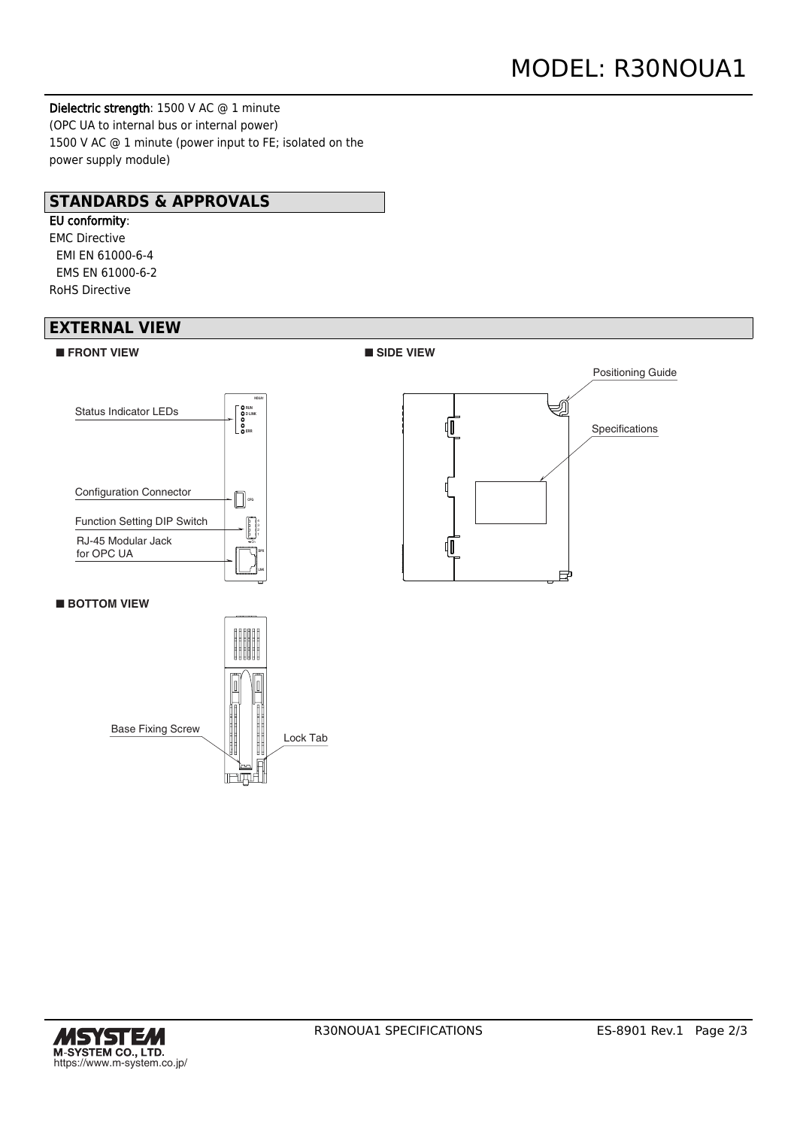Dielectric strength: 1500 V AC @ 1 minute (OPC UA to internal bus or internal power) 1500 V AC @ 1 minute (power input to FE; isolated on the power supply module)

## **STANDARDS & APPROVALS**

# EU conformity:

EMC Directive EMI EN 61000-6-4 EMS EN 61000-6-2 RoHS Directive

## **EXTERNAL VIEW**